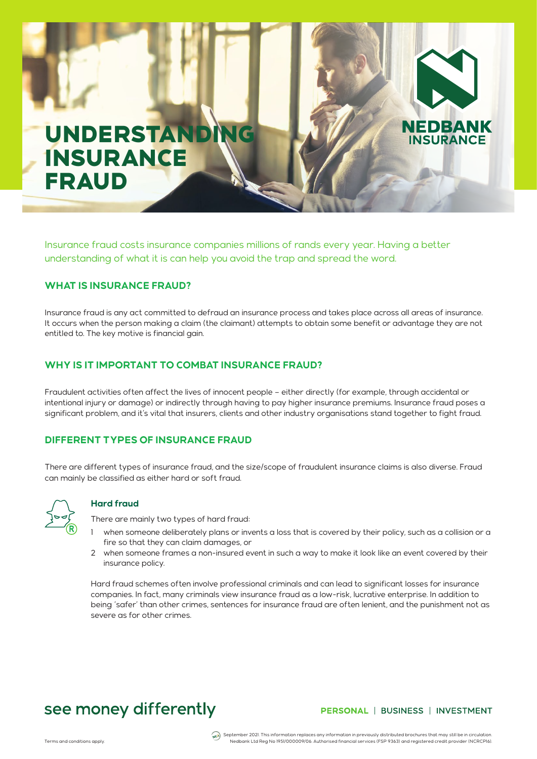# UNDERSTANDI **INSURANCE** FRAUD

Insurance fraud costs insurance companies millions of rands every year. Having a better understanding of what it is can help you avoid the trap and spread the word.

# **WHAT IS INSURANCE FRAUD?**

Insurance fraud is any act committed to defraud an insurance process and takes place across all areas of insurance. It occurs when the person making a claim (the claimant) attempts to obtain some benefit or advantage they are not entitled to. The key motive is financial gain.

# **WHY IS IT IMPORTANT TO COMBAT INSURANCE FRAUD?**

Fraudulent activities often affect the lives of innocent people – either directly (for example, through accidental or intentional injury or damage) or indirectly through having to pay higher insurance premiums. Insurance fraud poses a significant problem, and it's vital that insurers, clients and other industry organisations stand together to fight fraud.

# **DIFFERENT TYPES OF INSURANCE FRAUD**

There are different types of insurance fraud, and the size/scope of fraudulent insurance claims is also diverse. Fraud can mainly be classified as either hard or soft fraud.



### **Hard fraud**

There are mainly two types of hard fraud:

- when someone deliberately plans or invents a loss that is covered by their policy, such as a collision or a fire so that they can claim damages, or
- 2 when someone frames a non-insured event in such a way to make it look like an event covered by their insurance policy.

Hard fraud schemes often involve professional criminals and can lead to significant losses for insurance companies. In fact, many criminals view insurance fraud as a low-risk, lucrative enterprise. In addition to being 'safer' than other crimes, sentences for insurance fraud are often lenient, and the punishment not as severe as for other crimes.

# see money differently

# PERSONAL | BUSINESS | INVESTMENT

**NEDBANK INSURANCE** 

September 2021. This information replaces any information in previously distributed brochures that may still be in circulation (مجمع المساهية) September 2021. This information replaces any information in previously distri